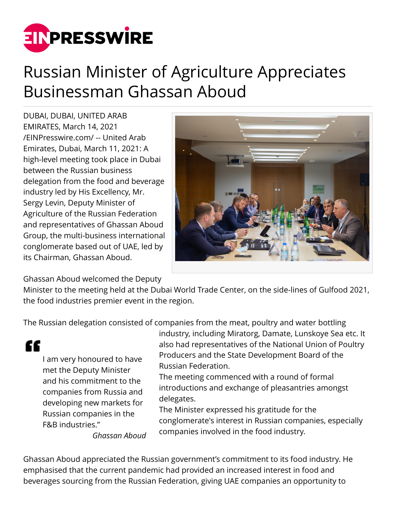

## Russian Minister of Agriculture Appreciates Businessman Ghassan Aboud

DUBAI, DUBAI, UNITED ARAB EMIRATES, March 14, 2021 [/EINPresswire.com/](http://www.einpresswire.com) -- United Arab Emirates, Dubai, March 11, 2021: A high-level meeting took place in Dubai between the Russian business delegation from the food and beverage industry led by His Excellency, Mr. Sergy Levin, Deputy Minister of Agriculture of the Russian Federation and representatives of Ghassan Aboud Group, the multi-business international conglomerate based out of UAE, led by its Chairman, Ghassan Aboud.



Ghassan Aboud welcomed the Deputy

Minister to the meeting held at the Dubai World Trade Center, on the side-lines of Gulfood 2021, the food industries premier event in the region.

The Russian delegation consisted of companies from the meat, poultry and water bottling

I am very honoured to have met the Deputy Minister and his commitment to the companies from Russia and developing new markets for Russian companies in the F&B industries."

££

industry, including Miratorg, Damate, Lunskoye Sea etc. It also had representatives of the National Union of Poultry Producers and the State Development Board of the Russian Federation.

The meeting commenced with a round of formal introductions and exchange of pleasantries amongst delegates.

The Minister expressed his gratitude for the conglomerate's interest in Russian companies, especially companies involved in the food industry.

*Ghassan Aboud*

Ghassan Aboud appreciated the Russian government's commitment to its food industry. He emphasised that the current pandemic had provided an increased interest in food and beverages sourcing from the Russian Federation, giving UAE companies an opportunity to